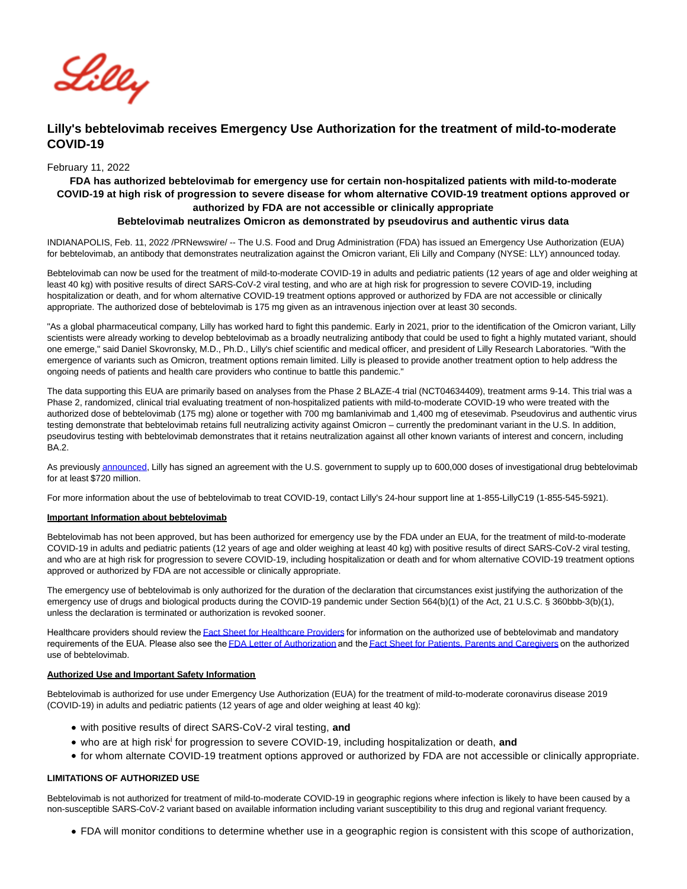

# **Lilly's bebtelovimab receives Emergency Use Authorization for the treatment of mild-to-moderate COVID-19**

# February 11, 2022

# **FDA has authorized bebtelovimab for emergency use for certain non-hospitalized patients with mild-to-moderate COVID-19 at high risk of progression to severe disease for whom alternative COVID-19 treatment options approved or authorized by FDA are not accessible or clinically appropriate Bebtelovimab neutralizes Omicron as demonstrated by pseudovirus and authentic virus data**

INDIANAPOLIS, Feb. 11, 2022 /PRNewswire/ -- The U.S. Food and Drug Administration (FDA) has issued an Emergency Use Authorization (EUA) for bebtelovimab, an antibody that demonstrates neutralization against the Omicron variant, Eli Lilly and Company (NYSE: LLY) announced today.

Bebtelovimab can now be used for the treatment of mild-to-moderate COVID-19 in adults and pediatric patients (12 years of age and older weighing at least 40 kg) with positive results of direct SARS-CoV-2 viral testing, and who are at high risk for progression to severe COVID-19, including hospitalization or death, and for whom alternative COVID-19 treatment options approved or authorized by FDA are not accessible or clinically appropriate. The authorized dose of bebtelovimab is 175 mg given as an intravenous injection over at least 30 seconds.

"As a global pharmaceutical company, Lilly has worked hard to fight this pandemic. Early in 2021, prior to the identification of the Omicron variant, Lilly scientists were already working to develop bebtelovimab as a broadly neutralizing antibody that could be used to fight a highly mutated variant, should one emerge," said Daniel Skovronsky, M.D., Ph.D., Lilly's chief scientific and medical officer, and president of Lilly Research Laboratories. "With the emergence of variants such as Omicron, treatment options remain limited. Lilly is pleased to provide another treatment option to help address the ongoing needs of patients and health care providers who continue to battle this pandemic."

The data supporting this EUA are primarily based on analyses from the Phase 2 BLAZE-4 trial (NCT04634409), treatment arms 9-14. This trial was a Phase 2, randomized, clinical trial evaluating treatment of non-hospitalized patients with mild-to-moderate COVID-19 who were treated with the authorized dose of bebtelovimab (175 mg) alone or together with 700 mg bamlanivimab and 1,400 mg of etesevimab. Pseudovirus and authentic virus testing demonstrate that bebtelovimab retains full neutralizing activity against Omicron – currently the predominant variant in the U.S. In addition, pseudovirus testing with bebtelovimab demonstrates that it retains neutralization against all other known variants of interest and concern, including BA.2.

As previousl[y announced,](https://c212.net/c/link/?t=0&l=en&o=3441548-1&h=928982737&u=https%3A%2F%2Finvestor.lilly.com%2Fnews-releases%2Fnews-release-details%2Flilly-will-supply-600000-doses-bebtelovimab-us-government&a=announced) Lilly has signed an agreement with the U.S. government to supply up to 600,000 doses of investigational drug bebtelovimab for at least \$720 million.

For more information about the use of bebtelovimab to treat COVID-19, contact Lilly's 24-hour support line at 1-855-LillyC19 (1-855-545-5921).

# **Important Information about bebtelovimab**

Bebtelovimab has not been approved, but has been authorized for emergency use by the FDA under an EUA, for the treatment of mild-to-moderate COVID-19 in adults and pediatric patients (12 years of age and older weighing at least 40 kg) with positive results of direct SARS-CoV-2 viral testing, and who are at high risk for progression to severe COVID-19, including hospitalization or death and for whom alternative COVID-19 treatment options approved or authorized by FDA are not accessible or clinically appropriate.

The emergency use of bebtelovimab is only authorized for the duration of the declaration that circumstances exist justifying the authorization of the emergency use of drugs and biological products during the COVID-19 pandemic under Section 564(b)(1) of the Act, 21 U.S.C. § 360bbb-3(b)(1), unless the declaration is terminated or authorization is revoked sooner.

Healthcare providers should review the [Fact Sheet for Healthcare Providers](https://c212.net/c/link/?t=0&l=en&o=3441548-1&h=2916431115&u=http%3A%2F%2Fpi.lilly.com%2Feua%2Fbebtelovimab-eua-factsheet-hcp.pdf&a=Fact+Sheet+for+Healthcare+Providers) for information on the authorized use of bebtelovimab and mandatory requirements of the EUA. Please also see the **[FDA Letter of Authorization](https://c212.net/c/link/?t=0&l=en&o=3441548-1&h=408035792&u=http%3A%2F%2Fpi.lilly.com%2Feua%2Fbebtelovimab-eua-fda-authorization-letter.pdf&a=FDA+Letter+of+Authorization)** and the **Fact Sheet for Patients**, Parents and Caregivers on the authorized use of bebtelovimab.

# **Authorized Use and Important Safety Information**

Bebtelovimab is authorized for use under Emergency Use Authorization (EUA) for the treatment of mild-to-moderate coronavirus disease 2019 (COVID-19) in adults and pediatric patients (12 years of age and older weighing at least 40 kg):

- with positive results of direct SARS-CoV-2 viral testing, **and**
- who are at high risk<sup>i</sup> for progression to severe COVID-19, including hospitalization or death, and
- for whom alternate COVID-19 treatment options approved or authorized by FDA are not accessible or clinically appropriate.

# **LIMITATIONS OF AUTHORIZED USE**

Bebtelovimab is not authorized for treatment of mild-to-moderate COVID-19 in geographic regions where infection is likely to have been caused by a non-susceptible SARS-CoV-2 variant based on available information including variant susceptibility to this drug and regional variant frequency.

FDA will monitor conditions to determine whether use in a geographic region is consistent with this scope of authorization,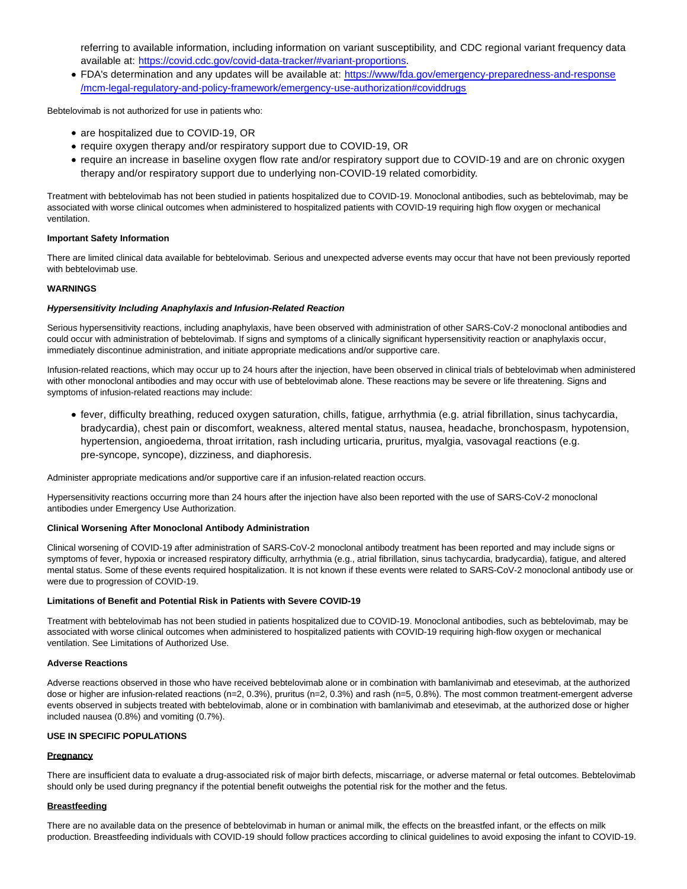referring to available information, including information on variant susceptibility, and CDC regional variant frequency data available at: [https://covid.cdc.gov/covid-data-tracker/#variant-proportions.](https://c212.net/c/link/?t=0&l=en&o=3441548-1&h=3153987115&u=https%3A%2F%2Fcovid.cdc.gov%2Fcovid-data-tracker%2F%23variant-proportions&a=https%3A%2F%2Fcovid.cdc.gov%2Fcovid-data-tracker%2F%23variant-proportions)

FDA's determination and any updates will be available at: [https://www/fda.gov/emergency-preparedness-and-response](https://c212.net/c/link/?t=0&l=en&o=3441548-1&h=3647041555&u=https%3A%2F%2Fwww%2Ffda.gov%2Femergency-preparedness-and-response%2Fmcm-legal-regulatory-and-policy-framework%2Femergency-use-authorization%23coviddrugs&a=https%3A%2F%2Fwww%2Ffda.gov%2Femergency-preparedness-and-response%2Fmcm-legal-regulatory-and-policy-framework%2Femergency-use-authorization%23coviddrugs) /mcm-legal-regulatory-and-policy-framework/emergency-use-authorization#coviddrugs

Bebtelovimab is not authorized for use in patients who:

- are hospitalized due to COVID-19, OR
- require oxygen therapy and/or respiratory support due to COVID-19, OR
- require an increase in baseline oxygen flow rate and/or respiratory support due to COVID-19 and are on chronic oxygen therapy and/or respiratory support due to underlying non-COVID-19 related comorbidity.

Treatment with bebtelovimab has not been studied in patients hospitalized due to COVID-19. Monoclonal antibodies, such as bebtelovimab, may be associated with worse clinical outcomes when administered to hospitalized patients with COVID-19 requiring high flow oxygen or mechanical ventilation.

### **Important Safety Information**

There are limited clinical data available for bebtelovimab. Serious and unexpected adverse events may occur that have not been previously reported with bebtelovimab use.

# **WARNINGS**

#### **Hypersensitivity Including Anaphylaxis and Infusion-Related Reaction**

Serious hypersensitivity reactions, including anaphylaxis, have been observed with administration of other SARS-CoV-2 monoclonal antibodies and could occur with administration of bebtelovimab. If signs and symptoms of a clinically significant hypersensitivity reaction or anaphylaxis occur, immediately discontinue administration, and initiate appropriate medications and/or supportive care.

Infusion-related reactions, which may occur up to 24 hours after the injection, have been observed in clinical trials of bebtelovimab when administered with other monoclonal antibodies and may occur with use of bebtelovimab alone. These reactions may be severe or life threatening. Signs and symptoms of infusion-related reactions may include:

fever, difficulty breathing, reduced oxygen saturation, chills, fatigue, arrhythmia (e.g. atrial fibrillation, sinus tachycardia, bradycardia), chest pain or discomfort, weakness, altered mental status, nausea, headache, bronchospasm, hypotension, hypertension, angioedema, throat irritation, rash including urticaria, pruritus, myalgia, vasovagal reactions (e.g. pre-syncope, syncope), dizziness, and diaphoresis.

Administer appropriate medications and/or supportive care if an infusion-related reaction occurs.

Hypersensitivity reactions occurring more than 24 hours after the injection have also been reported with the use of SARS-CoV-2 monoclonal antibodies under Emergency Use Authorization.

#### **Clinical Worsening After Monoclonal Antibody Administration**

Clinical worsening of COVID-19 after administration of SARS-CoV-2 monoclonal antibody treatment has been reported and may include signs or symptoms of fever, hypoxia or increased respiratory difficulty, arrhythmia (e.g., atrial fibrillation, sinus tachycardia, bradycardia), fatigue, and altered mental status. Some of these events required hospitalization. It is not known if these events were related to SARS-CoV-2 monoclonal antibody use or were due to progression of COVID-19.

#### **Limitations of Benefit and Potential Risk in Patients with Severe COVID-19**

Treatment with bebtelovimab has not been studied in patients hospitalized due to COVID-19. Monoclonal antibodies, such as bebtelovimab, may be associated with worse clinical outcomes when administered to hospitalized patients with COVID-19 requiring high-flow oxygen or mechanical ventilation. See Limitations of Authorized Use.

#### **Adverse Reactions**

Adverse reactions observed in those who have received bebtelovimab alone or in combination with bamlanivimab and etesevimab, at the authorized dose or higher are infusion-related reactions (n=2, 0.3%), pruritus (n=2, 0.3%) and rash (n=5, 0.8%). The most common treatment-emergent adverse events observed in subjects treated with bebtelovimab, alone or in combination with bamlanivimab and etesevimab, at the authorized dose or higher included nausea (0.8%) and vomiting (0.7%).

# **USE IN SPECIFIC POPULATIONS**

### **Pregnancy**

There are insufficient data to evaluate a drug-associated risk of major birth defects, miscarriage, or adverse maternal or fetal outcomes. Bebtelovimab should only be used during pregnancy if the potential benefit outweighs the potential risk for the mother and the fetus.

#### **Breastfeeding**

There are no available data on the presence of bebtelovimab in human or animal milk, the effects on the breastfed infant, or the effects on milk production. Breastfeeding individuals with COVID-19 should follow practices according to clinical guidelines to avoid exposing the infant to COVID-19.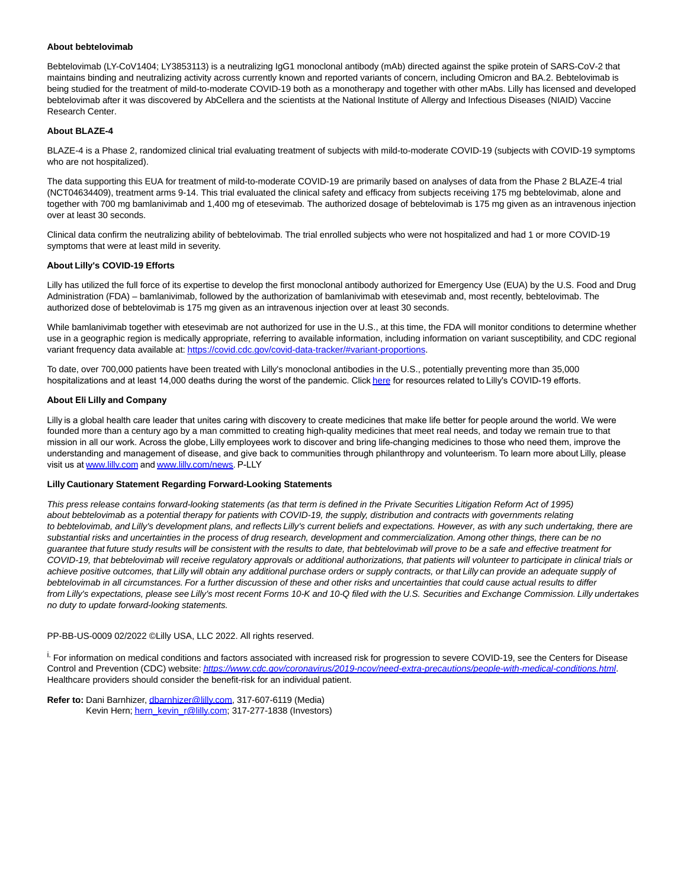#### **About bebtelovimab**

Bebtelovimab (LY-CoV1404; LY3853113) is a neutralizing IgG1 monoclonal antibody (mAb) directed against the spike protein of SARS-CoV-2 that maintains binding and neutralizing activity across currently known and reported variants of concern, including Omicron and BA.2. Bebtelovimab is being studied for the treatment of mild-to-moderate COVID-19 both as a monotherapy and together with other mAbs. Lilly has licensed and developed bebtelovimab after it was discovered by AbCellera and the scientists at the National Institute of Allergy and Infectious Diseases (NIAID) Vaccine Research Center.

### **About BLAZE-4**

BLAZE-4 is a Phase 2, randomized clinical trial evaluating treatment of subjects with mild-to-moderate COVID-19 (subjects with COVID-19 symptoms who are not hospitalized).

The data supporting this EUA for treatment of mild-to-moderate COVID-19 are primarily based on analyses of data from the Phase 2 BLAZE-4 trial (NCT04634409), treatment arms 9-14. This trial evaluated the clinical safety and efficacy from subjects receiving 175 mg bebtelovimab, alone and together with 700 mg bamlanivimab and 1,400 mg of etesevimab. The authorized dosage of bebtelovimab is 175 mg given as an intravenous injection over at least 30 seconds.

Clinical data confirm the neutralizing ability of bebtelovimab. The trial enrolled subjects who were not hospitalized and had 1 or more COVID-19 symptoms that were at least mild in severity.

#### **About Lilly's COVID-19 Efforts**

Lilly has utilized the full force of its expertise to develop the first monoclonal antibody authorized for Emergency Use (EUA) by the U.S. Food and Drug Administration (FDA) – bamlanivimab, followed by the authorization of bamlanivimab with etesevimab and, most recently, bebtelovimab. The authorized dose of bebtelovimab is 175 mg given as an intravenous injection over at least 30 seconds.

While bamlanivimab together with etesevimab are not authorized for use in the U.S., at this time, the FDA will monitor conditions to determine whether use in a geographic region is medically appropriate, referring to available information, including information on variant susceptibility, and CDC regional variant frequency data available at[: https://covid.cdc.gov/covid-data-tracker/#variant-proportions.](https://c212.net/c/link/?t=0&l=en&o=3441548-1&h=3153987115&u=https%3A%2F%2Fcovid.cdc.gov%2Fcovid-data-tracker%2F%23variant-proportions&a=https%3A%2F%2Fcovid.cdc.gov%2Fcovid-data-tracker%2F%23variant-proportions) 

To date, over 700,000 patients have been treated with Lilly's monoclonal antibodies in the U.S., potentially preventing more than 35,000 hospitalizations and at least 14,000 deaths during the worst of the pandemic. Click [here](https://c212.net/c/link/?t=0&l=en&o=3441548-1&h=1591092057&u=https%3A%2F%2Fwww.lilly.com%2Fnews%2Fstories%2F2022-coronavirus-covid19-global-response&a=here) for resources related to Lilly's COVID-19 efforts.

# **About Eli Lilly and Company**

Lilly is a global health care leader that unites caring with discovery to create medicines that make life better for people around the world. We were founded more than a century ago by a man committed to creating high-quality medicines that meet real needs, and today we remain true to that mission in all our work. Across the globe, Lilly employees work to discover and bring life-changing medicines to those who need them, improve the understanding and management of disease, and give back to communities through philanthropy and volunteerism. To learn more about Lilly, please visit us at [www.lilly.com](https://c212.net/c/link/?t=0&l=en&o=3441548-1&h=773379504&u=https%3A%2F%2Fc212.net%2Fc%2Flink%2F%3Ft%3D0%26l%3Den%26o%3D3376839-1%26h%3D2441047373%26u%3Dhttps%253A%252F%252Fc212.net%252Fc%252Flink%252F%253Ft%253D0%2526l%253Den%2526o%253D3131091-1%2526h%253D1386005987%2526u%253Dhttps%25253A%25252F%25252Fwww.lilly.com%25252F%2526a%253Dwww.lilly.com%26a%3Dwww.lilly.com&a=www.lilly.com) and [www.lilly.com/news](https://c212.net/c/link/?t=0&l=en&o=3441548-1&h=1221488356&u=https%3A%2F%2Fc212.net%2Fc%2Flink%2F%3Ft%3D0%26l%3Den%26o%3D3376839-1%26h%3D3673019237%26u%3Dhttps%253A%252F%252Fc212.net%252Fc%252Flink%252F%253Ft%253D0%2526l%253Den%2526o%253D3131091-1%2526h%253D3055978097%2526u%253Dhttps%25253A%25252F%25252Fwww.lilly.com%25252Fnews%2526a%253Dwww.lilly.com%25252Fnews%26a%3Dwww.lilly.com%252Fnews&a=www.lilly.com%2Fnews). P-LLY

#### **Lilly Cautionary Statement Regarding Forward-Looking Statements**

This press release contains forward-looking statements (as that term is defined in the Private Securities Litigation Reform Act of 1995) about bebtelovimab as a potential therapy for patients with COVID-19, the supply, distribution and contracts with governments relating to bebtelovimab, and Lilly's development plans, and reflects Lilly's current beliefs and expectations. However, as with any such undertaking, there are substantial risks and uncertainties in the process of drug research, development and commercialization. Among other things, there can be no guarantee that future study results will be consistent with the results to date, that bebtelovimab will prove to be a safe and effective treatment for COVID-19, that bebtelovimab will receive regulatory approvals or additional authorizations, that patients will volunteer to participate in clinical trials or achieve positive outcomes, that Lilly will obtain any additional purchase orders or supply contracts, or that Lilly can provide an adequate supply of bebtelovimab in all circumstances. For a further discussion of these and other risks and uncertainties that could cause actual results to differ from Lilly's expectations, please see Lilly's most recent Forms 10-K and 10-Q filed with the U.S. Securities and Exchange Commission. Lilly undertakes no duty to update forward-looking statements.

PP-BB-US-0009 02/2022 ©Lilly USA, LLC 2022. All rights reserved.

<sup>i.</sup> For information on medical conditions and factors associated with increased risk for progression to severe COVID-19, see the Centers for Disease Control and Prevention (CDC) website: [https://www.cdc.gov/coronavirus/2019-ncov/need-extra-precautions/people-with-medical-conditions.html](https://c212.net/c/link/?t=0&l=en&o=3441548-1&h=709580858&u=https%3A%2F%2Fwww.cdc.gov%2Fcoronavirus%2F2019-ncov%2Fneed-extra-precautions%2Fpeople-with-medical-conditions.html&a=https%3A%2F%2Fwww.cdc.gov%2Fcoronavirus%2F2019-ncov%2Fneed-extra-precautions%2Fpeople-with-medical-conditions.html). Healthcare providers should consider the benefit-risk for an individual patient.

**Refer to:** Dani Barnhizer[, dbarnhizer@lilly.com,](mailto:dbarnhizer@lilly.com) 317-607-6119 (Media) Kevin Hern[; hern\\_kevin\\_r@lilly.com;](mailto:hern_kevin_r@lilly.com) 317-277-1838 (Investors)